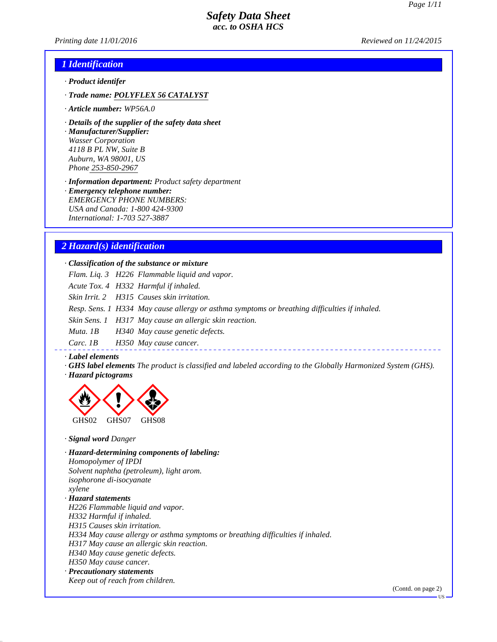*Printing date 11/01/2016 Reviewed on 11/24/2015*

### *1 Identification*

- *· Product identifer*
- *· Trade name: POLYFLEX 56 CATALYST*
- *· Article number: WP56A.0*
- *· Details of the supplier of the safety data sheet*

*· Manufacturer/Supplier: Wasser Corporation 4118 B PL NW, Suite B Auburn, WA 98001, US Phone 253-850-2967*

*· Information department: Product safety department*

*· Emergency telephone number: EMERGENCY PHONE NUMBERS: USA and Canada: 1-800 424-9300 International: 1-703 527-3887*

### *2 Hazard(s) identification*

*· Classification of the substance or mixture*

*Flam. Liq. 3 H226 Flammable liquid and vapor.*

*Acute Tox. 4 H332 Harmful if inhaled.*

*Skin Irrit. 2 H315 Causes skin irritation.*

*Resp. Sens. 1 H334 May cause allergy or asthma symptoms or breathing difficulties if inhaled.*

*Skin Sens. 1 H317 May cause an allergic skin reaction.*

*Muta. 1B H340 May cause genetic defects.*

*Carc. 1B H350 May cause cancer.*

#### *· Label elements*

*· GHS label elements The product is classified and labeled according to the Globally Harmonized System (GHS). · Hazard pictograms*



*· Signal word Danger*

*· Hazard-determining components of labeling: Homopolymer of IPDI Solvent naphtha (petroleum), light arom. isophorone di-isocyanate xylene · Hazard statements H226 Flammable liquid and vapor. H332 Harmful if inhaled. H315 Causes skin irritation. H334 May cause allergy or asthma symptoms or breathing difficulties if inhaled. H317 May cause an allergic skin reaction. H340 May cause genetic defects. H350 May cause cancer. · Precautionary statements Keep out of reach from children.*

(Contd. on page 2)

US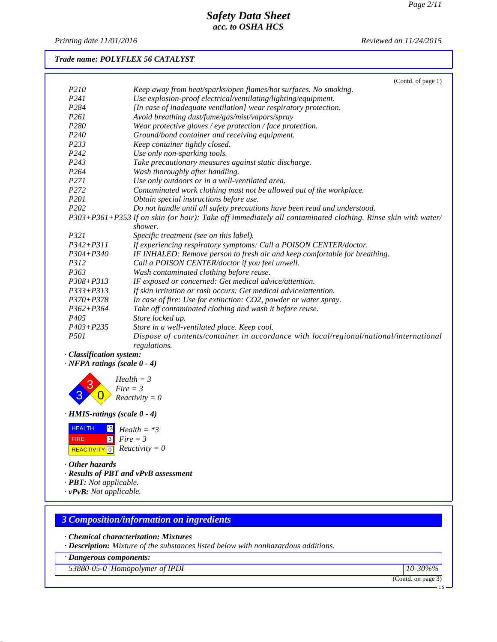*Printing date 11/01/2016 Reviewed on 11/24/2015*

### *Trade name: POLYFLEX 56 CATALYST*

|                  | (Contd. of page 1)                                                                                          |
|------------------|-------------------------------------------------------------------------------------------------------------|
| P <sub>210</sub> | Keep away from heat/sparks/open flames/hot surfaces. No smoking.                                            |
| P <sub>241</sub> | Use explosion-proof electrical/ventilating/lighting/equipment.                                              |
| P <sub>284</sub> | [In case of inadequate ventilation] wear respiratory protection.                                            |
| P <sub>261</sub> | Avoid breathing dust/fume/gas/mist/vapors/spray                                                             |
| P <sub>280</sub> | Wear protective gloves / eye protection / face protection.                                                  |
| P <sub>240</sub> | Ground/bond container and receiving equipment.                                                              |
| P233             | Keep container tightly closed.                                                                              |
| P <sub>242</sub> | Use only non-sparking tools.                                                                                |
| P <sub>243</sub> | Take precautionary measures against static discharge.                                                       |
| P <sub>264</sub> | Wash thoroughly after handling.                                                                             |
| P <sub>271</sub> | Use only outdoors or in a well-ventilated area.                                                             |
| P <sub>272</sub> | Contaminated work clothing must not be allowed out of the workplace.                                        |
| P <sub>201</sub> | Obtain special instructions before use.                                                                     |
| P <sub>202</sub> | Do not handle until all safety precautions have been read and understood.                                   |
|                  | P303+P361+P353 If on skin (or hair): Take off immediately all contaminated clothing. Rinse skin with water/ |
|                  | shower.                                                                                                     |
| P321             | Specific treatment (see on this label).                                                                     |
| $P342 + P311$    | If experiencing respiratory symptoms: Call a POISON CENTER/doctor.                                          |
| $P304 + P340$    | IF INHALED: Remove person to fresh air and keep comfortable for breathing.                                  |
| P312             | Call a POISON CENTER/doctor if you feel unwell.                                                             |
| P363             | Wash contaminated clothing before reuse.                                                                    |
| $P308 + P313$    | IF exposed or concerned: Get medical advice/attention.                                                      |
| $P333 + P313$    | If skin irritation or rash occurs: Get medical advice/attention.                                            |
| $P370 + P378$    | In case of fire: Use for extinction: CO2, powder or water spray.                                            |
| $P362 + P364$    | Take off contaminated clothing and wash it before reuse.                                                    |
| P <sub>405</sub> | Store locked up.                                                                                            |
| $P403 + P235$    | Store in a well-ventilated place. Keep cool.                                                                |
| <i>P501</i>      | Dispose of contents/container in accordance with local/regional/national/international<br>regulations.      |

- *· Classification system:*
- *· NFPA ratings (scale 0 4)*

3 3  $\overline{\mathbf{0}}$ *Health = 3 Fire = 3 Reactivity = 0*

*· HMIS-ratings (scale 0 - 4)*

| <b>HEALTH</b> | $^{\star 3}$ Health = $^{\star 3}$           |
|---------------|----------------------------------------------|
| <b>FIRE</b>   | $\boxed{3}$ Fire = 3                         |
|               | REACTIVITY $\boxed{0}$ <i>Reactivity</i> = 0 |

- *· Other hazards*
- *· Results of PBT and vPvB assessment*
- *· PBT: Not applicable.*
- *· vPvB: Not applicable.*

### *3 Composition/information on ingredients*

- *· Chemical characterization: Mixtures*
- *· Description: Mixture of the substances listed below with nonhazardous additions.*

*· Dangerous components:*

*53880-05-0 Homopolymer of IPDI 10-30%%*

(Contd. on page 3)

US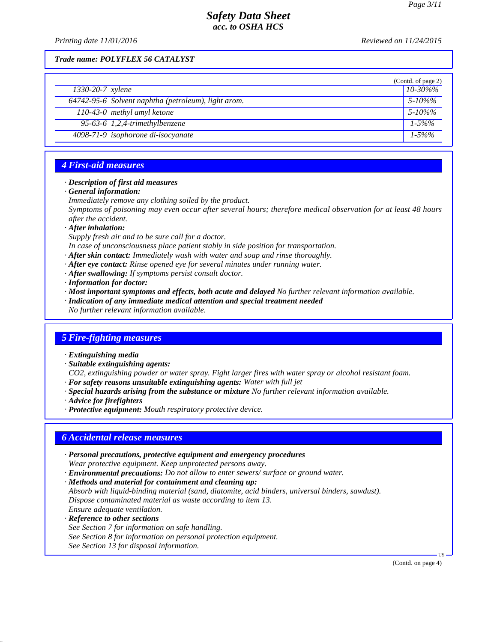*Printing date 11/01/2016 Reviewed on 11/24/2015*

*Trade name: POLYFLEX 56 CATALYST*

|                        |                                                     | (Contd. of page 2) |
|------------------------|-----------------------------------------------------|--------------------|
| $1330 - 20 - 7$ xylene |                                                     | $10 - 30\%$ %      |
|                        | 64742-95-6 Solvent naphtha (petroleum), light arom. | $5 - 10\%$ %       |
|                        | 110-43-0 methyl amyl ketone                         | $5 - 10\%$ %       |
|                        | 95-63-6 $1,2,4$ -trimethylbenzene                   | $1 - 5\%%$         |
|                        | 4098-71-9 isophorone di-isocyanate                  | $1 - 5\%$ %        |

#### *4 First-aid measures*

#### *· Description of first aid measures*

- *· General information:*
- *Immediately remove any clothing soiled by the product.*

*Symptoms of poisoning may even occur after several hours; therefore medical observation for at least 48 hours after the accident.*

*· After inhalation:*

*Supply fresh air and to be sure call for a doctor.*

*In case of unconsciousness place patient stably in side position for transportation.*

- *· After skin contact: Immediately wash with water and soap and rinse thoroughly.*
- *· After eye contact: Rinse opened eye for several minutes under running water.*
- *· After swallowing: If symptoms persist consult doctor.*

*· Information for doctor:*

- *· Most important symptoms and effects, both acute and delayed No further relevant information available.*
- *· Indication of any immediate medical attention and special treatment needed*

*No further relevant information available.*

### *5 Fire-fighting measures*

- *· Extinguishing media*
- *· Suitable extinguishing agents:*
- *CO2, extinguishing powder or water spray. Fight larger fires with water spray or alcohol resistant foam.*
- *· For safety reasons unsuitable extinguishing agents: Water with full jet*
- *· Special hazards arising from the substance or mixture No further relevant information available.*
- *· Advice for firefighters*
- *· Protective equipment: Mouth respiratory protective device.*

### *6 Accidental release measures*

- *· Personal precautions, protective equipment and emergency procedures Wear protective equipment. Keep unprotected persons away.*
- *· Environmental precautions: Do not allow to enter sewers/ surface or ground water.*
- *· Methods and material for containment and cleaning up:*

*Absorb with liquid-binding material (sand, diatomite, acid binders, universal binders, sawdust). Dispose contaminated material as waste according to item 13.*

- *Ensure adequate ventilation.*
- *· Reference to other sections*

*See Section 7 for information on safe handling.*

*See Section 8 for information on personal protection equipment.*

*See Section 13 for disposal information.*

(Contd. on page 4)

US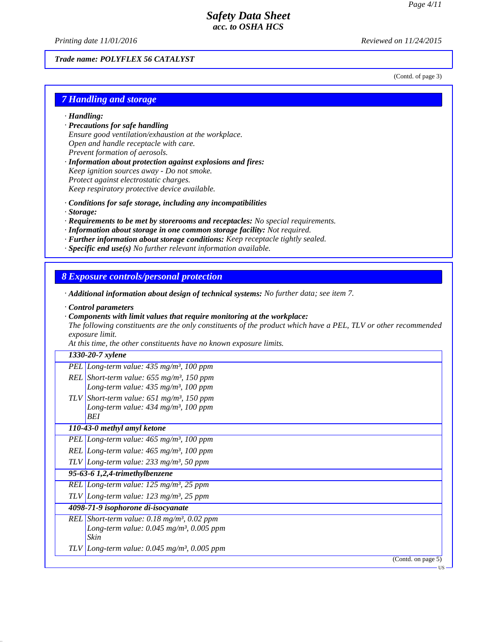*Printing date 11/01/2016 Reviewed on 11/24/2015*

*Trade name: POLYFLEX 56 CATALYST*

(Contd. of page 3)

US

### *7 Handling and storage*

- *· Handling:*
- *· Precautions for safe handling Ensure good ventilation/exhaustion at the workplace. Open and handle receptacle with care. Prevent formation of aerosols.*
- *· Information about protection against explosions and fires: Keep ignition sources away - Do not smoke. Protect against electrostatic charges. Keep respiratory protective device available.*
- *· Conditions for safe storage, including any incompatibilities*
- *· Storage:*
- *· Requirements to be met by storerooms and receptacles: No special requirements.*
- *· Information about storage in one common storage facility: Not required.*
- *· Further information about storage conditions: Keep receptacle tightly sealed.*
- *· Specific end use(s) No further relevant information available.*

*8 Exposure controls/personal protection*

*· Additional information about design of technical systems: No further data; see item 7.*

- *· Control parameters*
- *· Components with limit values that require monitoring at the workplace:*

*The following constituents are the only constituents of the product which have a PEL, TLV or other recommended exposure limit.*

*At this time, the other constituents have no known exposure limits.*

#### *1330-20-7 xylene*

Г

| PEL Long-term value: $435 \text{ mg/m}^3$ , 100 ppm              |
|------------------------------------------------------------------|
| REL Short-term value: $655$ mg/m <sup>3</sup> , 150 ppm          |
| Long-term value: $435 \text{ mg/m}^3$ , 100 ppm                  |
| TLV Short-term value: $651$ mg/m <sup>3</sup> , 150 ppm          |
| Long-term value: $434 \text{ mg/m}^3$ , 100 ppm                  |
| BEI                                                              |
| 110-43-0 methyl amyl ketone                                      |
| PEL Long-term value: $465 \text{ mg/m}^3$ , 100 ppm              |
| REL Long-term value: $465 \text{ mg/m}^3$ , 100 ppm              |
| TLV Long-term value: $233$ mg/m <sup>3</sup> , 50 ppm            |
| 95-63-6 1,2,4-trimethylbenzene                                   |
| REL Long-term value: $125 \text{ mg/m}^3$ , $25 \text{ ppm}$     |
| TLV Long-term value: $123$ mg/m <sup>3</sup> , 25 ppm            |
| 4098-71-9 isophorone di-isocyanate                               |
| REL Short-term value: $0.18 \text{ mg/m}^3$ , $0.02 \text{ ppm}$ |
| Long-term value: $0.045$ mg/m <sup>3</sup> , 0.005 ppm           |
| Skin                                                             |
| TLV Long-term value: $0.045$ mg/m <sup>3</sup> , $0.005$ ppm     |
| (Contd. on page 5)                                               |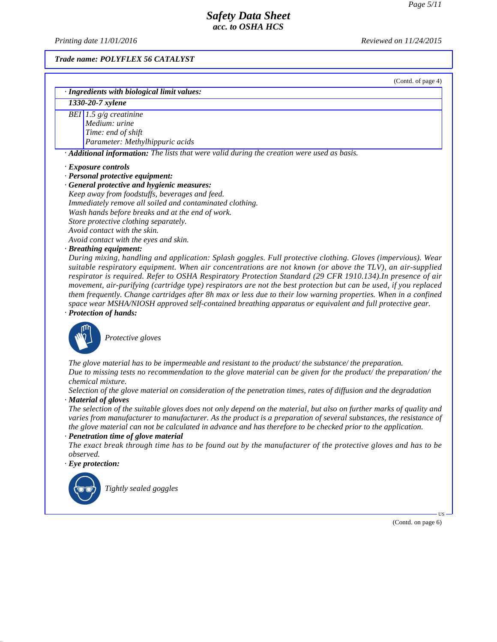*Printing date 11/01/2016 Reviewed on 11/24/2015*

*Trade name: POLYFLEX 56 CATALYST*

(Contd. of page 4)

| · Ingredients with biological limit values: |                                                                                                          |  |
|---------------------------------------------|----------------------------------------------------------------------------------------------------------|--|
| 1330-20-7 xylene                            |                                                                                                          |  |
|                                             | BEI 1.5 $g/g$ creatinine                                                                                 |  |
|                                             | Medium: urine                                                                                            |  |
|                                             | Time: end of shift                                                                                       |  |
|                                             | Parameter: Methylhippuric acids                                                                          |  |
|                                             | $\cdot$ <b>Additional information:</b> The lists that were valid during the creation were used as basis. |  |

#### *· Exposure controls*

*· Personal protective equipment:*

*· General protective and hygienic measures: Keep away from foodstuffs, beverages and feed. Immediately remove all soiled and contaminated clothing. Wash hands before breaks and at the end of work. Store protective clothing separately. Avoid contact with the skin. Avoid contact with the eyes and skin.*

#### *· Breathing equipment:*

*During mixing, handling and application: Splash goggles. Full protective clothing. Gloves (impervious). Wear suitable respiratory equipment. When air concentrations are not known (or above the TLV), an air-supplied respirator is required. Refer to OSHA Respiratory Protection Standard (29 CFR 1910.134).In presence of air movement, air-purifying (cartridge type) respirators are not the best protection but can be used, if you replaced them frequently. Change cartridges after 8h max or less due to their low warning properties. When in a confined space wear MSHA/NIOSH approved self-contained breathing apparatus or equivalent and full protective gear. · Protection of hands:*



\_S*Protective gloves*

*The glove material has to be impermeable and resistant to the product/ the substance/ the preparation. Due to missing tests no recommendation to the glove material can be given for the product/ the preparation/ the chemical mixture.*

*Selection of the glove material on consideration of the penetration times, rates of diffusion and the degradation · Material of gloves*

*The selection of the suitable gloves does not only depend on the material, but also on further marks of quality and varies from manufacturer to manufacturer. As the product is a preparation of several substances, the resistance of the glove material can not be calculated in advance and has therefore to be checked prior to the application.*

#### *· Penetration time of glove material*

*The exact break through time has to be found out by the manufacturer of the protective gloves and has to be observed.*

*· Eye protection:*



\_R*Tightly sealed goggles*

(Contd. on page 6)

US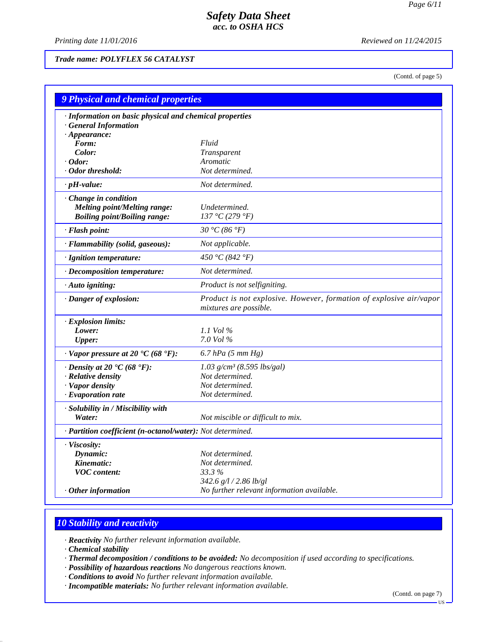*Printing date 11/01/2016 Reviewed on 11/24/2015*

*Trade name: POLYFLEX 56 CATALYST*

(Contd. of page 5)

| <b>9 Physical and chemical properties</b>                  |                                                                                               |  |
|------------------------------------------------------------|-----------------------------------------------------------------------------------------------|--|
| · Information on basic physical and chemical properties    |                                                                                               |  |
| · General Information                                      |                                                                                               |  |
| $\cdot$ Appearance:                                        |                                                                                               |  |
| Form:                                                      | Fluid                                                                                         |  |
| Color:                                                     | Transparent                                                                                   |  |
| $\cdot$ Odor:                                              | Aromatic                                                                                      |  |
| · Odor threshold:                                          | Not determined.                                                                               |  |
| $\cdot$ pH-value:                                          | Not determined.                                                                               |  |
| · Change in condition                                      |                                                                                               |  |
| <b>Melting point/Melting range:</b>                        | Undetermined.                                                                                 |  |
| <b>Boiling point/Boiling range:</b>                        | 137 °C (279 °F)                                                                               |  |
| · Flash point:                                             | 30 °C (86 °F)                                                                                 |  |
| · Flammability (solid, gaseous):                           | Not applicable.                                                                               |  |
| · Ignition temperature:                                    | 450 °C (842 °F)                                                                               |  |
| · Decomposition temperature:                               | Not determined.                                                                               |  |
| · Auto igniting:                                           | Product is not selfigniting.                                                                  |  |
| · Danger of explosion:                                     | Product is not explosive. However, formation of explosive air/vapor<br>mixtures are possible. |  |
| · Explosion limits:                                        |                                                                                               |  |
| Lower:                                                     | 1.1 Vol $\%$                                                                                  |  |
| <b>Upper:</b>                                              | 7.0 Vol %                                                                                     |  |
| $\cdot$ Vapor pressure at 20 $\cdot$ C (68 $\cdot$ F):     | $6.7$ hPa $(5$ mm Hg)                                                                         |  |
| $\cdot$ Density at 20 $\cdot$ C (68 $\cdot$ F):            | 1.03 $g/cm^3$ (8.595 lbs/gal)                                                                 |  |
| · Relative density                                         | Not determined.                                                                               |  |
| · Vapor density                                            | Not determined.                                                                               |  |
| $\cdot$ Evaporation rate                                   | Not determined.                                                                               |  |
| · Solubility in / Miscibility with                         |                                                                                               |  |
| Water:                                                     | Not miscible or difficult to mix.                                                             |  |
| · Partition coefficient (n-octanol/water): Not determined. |                                                                                               |  |
| · Viscosity:                                               |                                                                                               |  |
| Dynamic:                                                   | Not determined.                                                                               |  |
| Kinematic:                                                 | Not determined.                                                                               |  |
| <b>VOC</b> content:                                        | 33.3%                                                                                         |  |
|                                                            | 342.6 g/l / 2.86 lb/gl                                                                        |  |
| $\cdot$ Other information                                  | No further relevant information available.                                                    |  |

## *10 Stability and reactivity*

*· Reactivity No further relevant information available.*

*· Chemical stability*

- *· Thermal decomposition / conditions to be avoided: No decomposition if used according to specifications.*
- *· Possibility of hazardous reactions No dangerous reactions known.*
- *· Conditions to avoid No further relevant information available.*
- *· Incompatible materials: No further relevant information available.*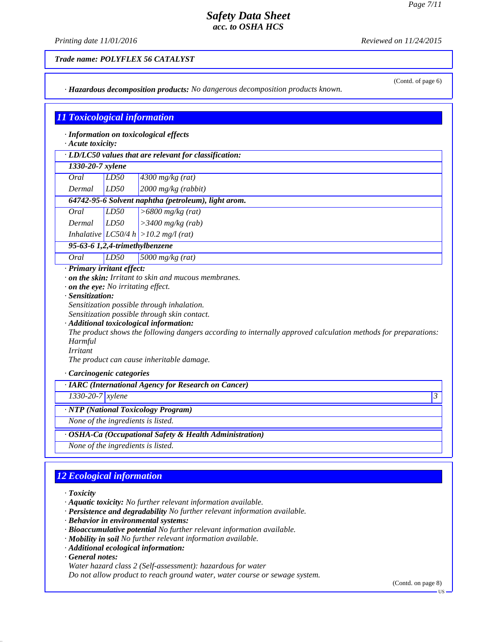*Printing date 11/01/2016 Reviewed on 11/24/2015*

*Trade name: POLYFLEX 56 CATALYST*

|      | (Contd. of page 6)<br>· Hazardous decomposition products: No dangerous decomposition products known.                                                                                                                                                                                                                                                                                                                                                                                       |                         |                                                        |  |
|------|--------------------------------------------------------------------------------------------------------------------------------------------------------------------------------------------------------------------------------------------------------------------------------------------------------------------------------------------------------------------------------------------------------------------------------------------------------------------------------------------|-------------------------|--------------------------------------------------------|--|
|      |                                                                                                                                                                                                                                                                                                                                                                                                                                                                                            |                         |                                                        |  |
|      |                                                                                                                                                                                                                                                                                                                                                                                                                                                                                            |                         |                                                        |  |
|      |                                                                                                                                                                                                                                                                                                                                                                                                                                                                                            |                         | <b>11 Toxicological information</b>                    |  |
|      | $\cdot$ Acute toxicity:                                                                                                                                                                                                                                                                                                                                                                                                                                                                    |                         | · Information on toxicological effects                 |  |
|      |                                                                                                                                                                                                                                                                                                                                                                                                                                                                                            |                         | · LD/LC50 values that are relevant for classification: |  |
|      | 1330-20-7 xylene                                                                                                                                                                                                                                                                                                                                                                                                                                                                           |                         |                                                        |  |
| Oral |                                                                                                                                                                                                                                                                                                                                                                                                                                                                                            | LD50                    | $4300$ mg/kg (rat)                                     |  |
|      | Dermal                                                                                                                                                                                                                                                                                                                                                                                                                                                                                     | LD50                    | 2000 mg/kg (rabbit)                                    |  |
|      |                                                                                                                                                                                                                                                                                                                                                                                                                                                                                            |                         | 64742-95-6 Solvent naphtha (petroleum), light arom.    |  |
| Oral |                                                                                                                                                                                                                                                                                                                                                                                                                                                                                            | LD50                    | $>6800$ mg/kg (rat)                                    |  |
|      | Dermal                                                                                                                                                                                                                                                                                                                                                                                                                                                                                     | LD50                    | $>3400$ mg/kg (rab)                                    |  |
|      |                                                                                                                                                                                                                                                                                                                                                                                                                                                                                            |                         | Inhalative $ LC50/4 h  > 10.2 mg/l (rat)$              |  |
|      |                                                                                                                                                                                                                                                                                                                                                                                                                                                                                            |                         | 95-63-6 1,2,4-trimethylbenzene                         |  |
| Oral |                                                                                                                                                                                                                                                                                                                                                                                                                                                                                            | LD50                    | 5000 mg/kg (rat)                                       |  |
|      | · Primary irritant effect:<br>. on the skin: Irritant to skin and mucous membranes.<br>$\cdot$ on the eye: No irritating effect.<br>· Sensitization:<br>Sensitization possible through inhalation.<br>Sensitization possible through skin contact.<br>· Additional toxicological information:<br>The product shows the following dangers according to internally approved calculation methods for preparations:<br>Harmful<br><i>Irritant</i><br>The product can cause inheritable damage. |                         |                                                        |  |
|      |                                                                                                                                                                                                                                                                                                                                                                                                                                                                                            | Carcinogenic categories |                                                        |  |
|      | · IARC (International Agency for Research on Cancer)                                                                                                                                                                                                                                                                                                                                                                                                                                       |                         |                                                        |  |
|      | 1330-20-7 xylene<br>$\overline{\overline{3}}$                                                                                                                                                                                                                                                                                                                                                                                                                                              |                         |                                                        |  |
|      | · NTP (National Toxicology Program)                                                                                                                                                                                                                                                                                                                                                                                                                                                        |                         |                                                        |  |
|      | None of the ingredients is listed.                                                                                                                                                                                                                                                                                                                                                                                                                                                         |                         |                                                        |  |
|      | · OSHA-Ca (Occupational Safety & Health Administration)                                                                                                                                                                                                                                                                                                                                                                                                                                    |                         |                                                        |  |
|      | None of the ingredients is listed.                                                                                                                                                                                                                                                                                                                                                                                                                                                         |                         |                                                        |  |

## *12 Ecological information*

*· Toxicity*

*· Aquatic toxicity: No further relevant information available.*

- *· Persistence and degradability No further relevant information available.*
- *· Behavior in environmental systems:*
- *· Bioaccumulative potential No further relevant information available.*
- *· Mobility in soil No further relevant information available.*
- *· Additional ecological information:*

*· General notes:*

*Water hazard class 2 (Self-assessment): hazardous for water*

*Do not allow product to reach ground water, water course or sewage system.*

(Contd. on page 8)

US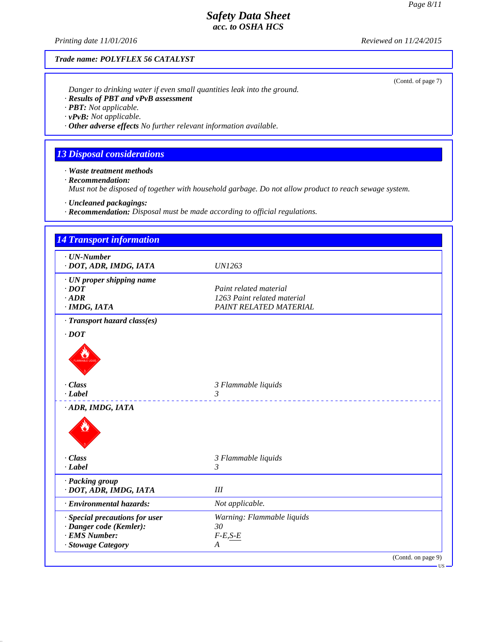(Contd. of page 7)

### *Safety Data Sheet acc. to OSHA HCS*

*Printing date 11/01/2016 Reviewed on 11/24/2015*

### *Trade name: POLYFLEX 56 CATALYST*

*Danger to drinking water if even small quantities leak into the ground.*

- *· Results of PBT and vPvB assessment*
- *· PBT: Not applicable.*
- *· vPvB: Not applicable.*
- *· Other adverse effects No further relevant information available.*

### *13 Disposal considerations*

*· Waste treatment methods*

*· Recommendation:*

*Must not be disposed of together with household garbage. Do not allow product to reach sewage system.*

*· Uncleaned packagings:*

*· Recommendation: Disposal must be made according to official regulations.*

| $\cdot$ UN-Number              |                             |  |
|--------------------------------|-----------------------------|--|
| · DOT, ADR, IMDG, IATA         | <b>UN1263</b>               |  |
| · UN proper shipping name      |                             |  |
| $\cdot$ DOT                    | Paint related material      |  |
| $\cdot$ ADR                    | 1263 Paint related material |  |
| · IMDG, IATA                   | PAINT RELATED MATERIAL      |  |
| · Transport hazard class(es)   |                             |  |
| $\cdot$ DOT                    |                             |  |
|                                |                             |  |
| · Class<br>$\cdot$ Label       | 3 Flammable liquids<br>3    |  |
| · ADR, IMDG, IATA              |                             |  |
|                                |                             |  |
| $\cdot$ Class                  | 3 Flammable liquids         |  |
| $-Label$                       | 3                           |  |
| · Packing group                |                             |  |
| · DOT, ADR, IMDG, IATA         | III                         |  |
| · Environmental hazards:       | Not applicable.             |  |
| · Special precautions for user | Warning: Flammable liquids  |  |
| · Danger code (Kemler):        | 30                          |  |
| · EMS Number:                  | $F-E, S-E$                  |  |
| · Stowage Category             | A                           |  |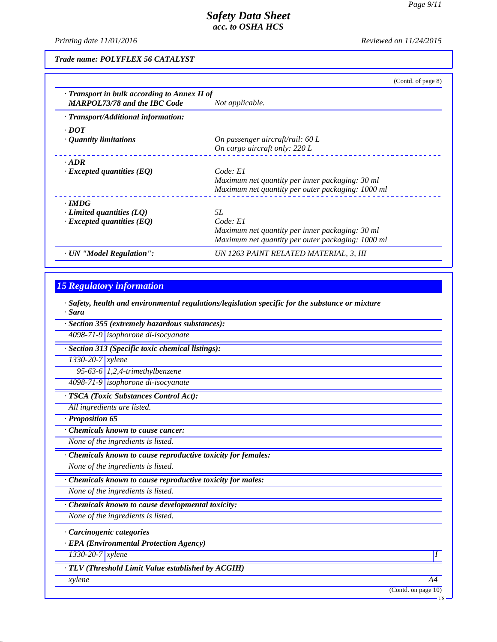*Printing date 11/01/2016 Reviewed on 11/24/2015*

*Trade name: POLYFLEX 56 CATALYST*

|                                                                                           | (Contd. of page 8)                                |
|-------------------------------------------------------------------------------------------|---------------------------------------------------|
| $\cdot$ Transport in bulk according to Annex II of<br><b>MARPOL73/78 and the IBC Code</b> | Not applicable.                                   |
| · Transport/Additional information:                                                       |                                                   |
| $\cdot$ DOT                                                                               |                                                   |
| $\cdot$ Quantity limitations                                                              | On passenger aircraft/rail: 60 L                  |
|                                                                                           | On cargo aircraft only: 220 L                     |
| $\cdot$ ADR                                                                               |                                                   |
| $\cdot$ Excepted quantities (EQ)                                                          | Code: El                                          |
|                                                                                           | Maximum net quantity per inner packaging: 30 ml   |
|                                                                                           | Maximum net quantity per outer packaging: 1000 ml |
| $\cdot$ IMDG                                                                              |                                                   |
| $\cdot$ Limited quantities (LQ)                                                           | .5L                                               |
| $\cdot$ Excepted quantities (EQ)                                                          | Code: E1                                          |
|                                                                                           | Maximum net quantity per inner packaging: 30 ml   |
|                                                                                           | Maximum net quantity per outer packaging: 1000 ml |
| · UN "Model Regulation":                                                                  | UN 1263 PAINT RELATED MATERIAL, 3, III            |

### *15 Regulatory information*

*· Safety, health and environmental regulations/legislation specific for the substance or mixture · Sara*

|  | $\cdot$ Section 355 (extremely hazardous substances): |
|--|-------------------------------------------------------|
|--|-------------------------------------------------------|

*4098-71-9 isophorone di-isocyanate*

*· Section 313 (Specific toxic chemical listings):*

*1330-20-7 xylene*

*95-63-6 1,2,4-trimethylbenzene*

*4098-71-9 isophorone di-isocyanate*

*· TSCA (Toxic Substances Control Act):*

*All ingredients are listed.*

*· Proposition 65*

*· Chemicals known to cause cancer:*

*None of the ingredients is listed.*

*· Chemicals known to cause reproductive toxicity for females:*

*None of the ingredients is listed.*

*· Chemicals known to cause reproductive toxicity for males:*

*None of the ingredients is listed.*

*· Chemicals known to cause developmental toxicity:*

*None of the ingredients is listed.*

*· Carcinogenic categories*

*· EPA (Environmental Protection Agency)*

*1330-20-7 xylene I* 

*· TLV (Threshold Limit Value established by ACGIH)*

*xylene A4*

(Contd. on page 10)

US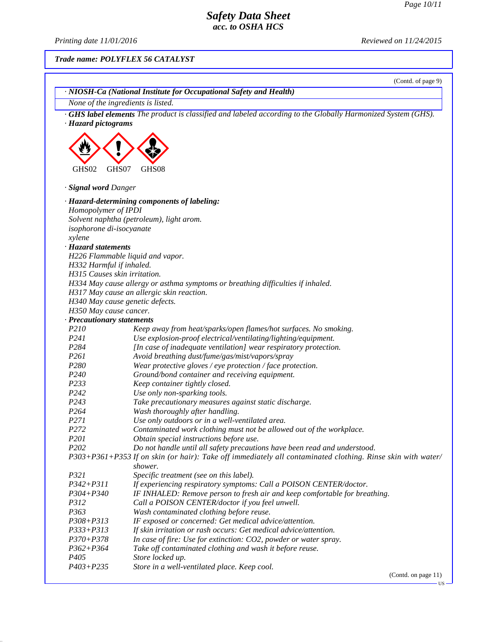$\overline{\mathbf{U}}$ 

## *Safety Data Sheet acc. to OSHA HCS*

*Printing date 11/01/2016 Reviewed on 11/24/2015*

### *Trade name: POLYFLEX 56 CATALYST*

|                                                          | (Contd. of page 9)                                                                                                           |
|----------------------------------------------------------|------------------------------------------------------------------------------------------------------------------------------|
|                                                          | · NIOSH-Ca (National Institute for Occupational Safety and Health)                                                           |
|                                                          | None of the ingredients is listed.                                                                                           |
| · Hazard pictograms                                      | GHS label elements The product is classified and labeled according to the Globally Harmonized System (GHS).                  |
|                                                          |                                                                                                                              |
| GHS07<br>GHS02                                           | GHS08                                                                                                                        |
| · Signal word Danger                                     |                                                                                                                              |
|                                                          | · Hazard-determining components of labeling:                                                                                 |
| Homopolymer of IPDI                                      |                                                                                                                              |
|                                                          | Solvent naphtha (petroleum), light arom.                                                                                     |
| isophorone di-isocyanate                                 |                                                                                                                              |
| xylene                                                   |                                                                                                                              |
| · Hazard statements                                      |                                                                                                                              |
|                                                          | H226 Flammable liquid and vapor.                                                                                             |
| H332 Harmful if inhaled.<br>H315 Causes skin irritation. |                                                                                                                              |
|                                                          |                                                                                                                              |
|                                                          | H334 May cause allergy or asthma symptoms or breathing difficulties if inhaled.<br>H317 May cause an allergic skin reaction. |
|                                                          | H340 May cause genetic defects.                                                                                              |
| H350 May cause cancer.                                   |                                                                                                                              |
| · Precautionary statements                               |                                                                                                                              |
| P210                                                     | Keep away from heat/sparks/open flames/hot surfaces. No smoking.                                                             |
| P241                                                     | Use explosion-proof electrical/ventilating/lighting/equipment.                                                               |
| P <sub>2</sub> 84                                        | [In case of inadequate ventilation] wear respiratory protection.                                                             |
| P261                                                     | Avoid breathing dust/fume/gas/mist/vapors/spray                                                                              |
| P <sub>280</sub>                                         | Wear protective gloves / eye protection / face protection.                                                                   |
| P240                                                     | Ground/bond container and receiving equipment.                                                                               |
| P233                                                     | Keep container tightly closed.                                                                                               |
| P242                                                     | Use only non-sparking tools.                                                                                                 |
| P243                                                     | Take precautionary measures against static discharge.                                                                        |
| P264                                                     | Wash thoroughly after handling.                                                                                              |
| P271                                                     | Use only outdoors or in a well-ventilated area.                                                                              |
| P272                                                     | Contaminated work clothing must not be allowed out of the workplace.                                                         |
| P201                                                     | Obtain special instructions before use.                                                                                      |
| P <sub>202</sub>                                         | Do not handle until all safety precautions have been read and understood.                                                    |
|                                                          | P303+P361+P353 If on skin (or hair): Take off immediately all contaminated clothing. Rinse skin with water/                  |
|                                                          | shower.                                                                                                                      |
| <i>P321</i>                                              | Specific treatment (see on this label).                                                                                      |
| $P342 + P311$                                            | If experiencing respiratory symptoms: Call a POISON CENTER/doctor.                                                           |
| $P304 + P340$                                            | IF INHALED: Remove person to fresh air and keep comfortable for breathing.                                                   |
| P312                                                     | Call a POISON CENTER/doctor if you feel unwell.                                                                              |
| P363                                                     | Wash contaminated clothing before reuse.                                                                                     |
| $P308 + P313$                                            | IF exposed or concerned: Get medical advice/attention.                                                                       |
| P333+P313                                                | If skin irritation or rash occurs: Get medical advice/attention.                                                             |
| $P370 + P378$                                            | In case of fire: Use for extinction: CO2, powder or water spray.                                                             |
| $P362 + P364$                                            | Take off contaminated clothing and wash it before reuse.                                                                     |
| P <sub>405</sub>                                         | Store locked up.                                                                                                             |
| $P403 + P235$                                            | Store in a well-ventilated place. Keep cool.                                                                                 |
|                                                          | (Contd. on page 11)                                                                                                          |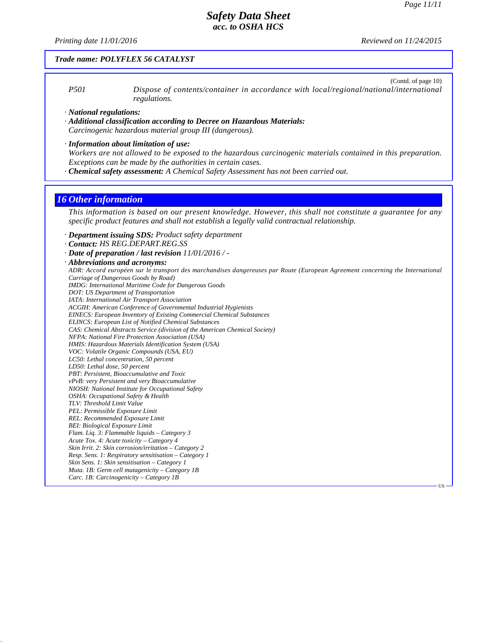*Printing date 11/01/2016 Reviewed on 11/24/2015*

#### *Trade name: POLYFLEX 56 CATALYST*

(Contd. of page 10) *P501 Dispose of contents/container in accordance with local/regional/national/international regulations.*

*· National regulations:*

- *· Additional classification according to Decree on Hazardous Materials: Carcinogenic hazardous material group III (dangerous).*
- *· Information about limitation of use:*
- *Workers are not allowed to be exposed to the hazardous carcinogenic materials contained in this preparation. Exceptions can be made by the authorities in certain cases.*
- *· Chemical safety assessment: A Chemical Safety Assessment has not been carried out.*

#### *16 Other information*

*This information is based on our present knowledge. However, this shall not constitute a guarantee for any specific product features and shall not establish a legally valid contractual relationship.*

- *· Department issuing SDS: Product safety department*
- *· Contact: HS REG.DEPART.REG.SS*
- *· Date of preparation / last revision 11/01/2016 / -*
- *· Abbreviations and acronyms:*

*ADR: Accord européen sur le transport des marchandises dangereuses par Route (European Agreement concerning the International Carriage of Dangerous Goods by Road) IMDG: International Maritime Code for Dangerous Goods DOT: US Department of Transportation IATA: International Air Transport Association ACGIH: American Conference of Governmental Industrial Hygienists EINECS: European Inventory of Existing Commercial Chemical Substances ELINCS: European List of Notified Chemical Substances CAS: Chemical Abstracts Service (division of the American Chemical Society) NFPA: National Fire Protection Association (USA) HMIS: Hazardous Materials Identification System (USA) VOC: Volatile Organic Compounds (USA, EU) LC50: Lethal concentration, 50 percent LD50: Lethal dose, 50 percent PBT: Persistent, Bioaccumulative and Toxic vPvB: very Persistent and very Bioaccumulative NIOSH: National Institute for Occupational Safety OSHA: Occupational Safety & Health TLV: Threshold Limit Value PEL: Permissible Exposure Limit REL: Recommended Exposure Limit BEI: Biological Exposure Limit Flam. Liq. 3: Flammable liquids – Category 3 Acute Tox. 4: Acute toxicity – Category 4 Skin Irrit. 2: Skin corrosion/irritation – Category 2 Resp. Sens. 1: Respiratory sensitisation – Category 1 Skin Sens. 1: Skin sensitisation – Category 1 Muta. 1B: Germ cell mutagenicity – Category 1B Carc. 1B: Carcinogenicity – Category 1B* US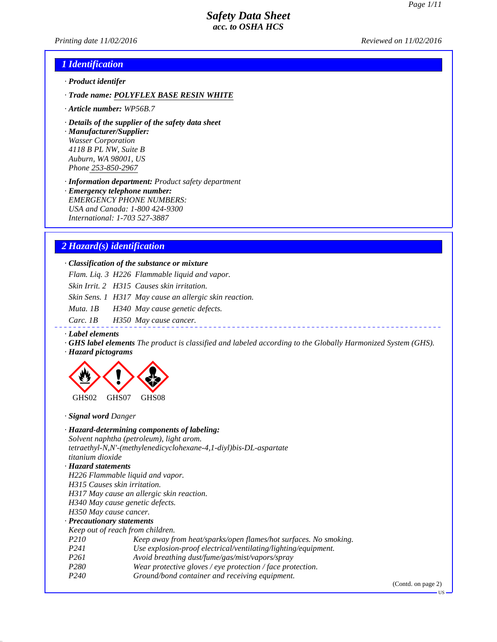*Printing date 11/02/2016 Reviewed on 11/02/2016*

#### *1 Identification*

- *· Product identifer*
- *· Trade name: POLYFLEX BASE RESIN WHITE*
- *· Article number: WP56B.7*
- *· Details of the supplier of the safety data sheet*

*· Manufacturer/Supplier: Wasser Corporation 4118 B PL NW, Suite B Auburn, WA 98001, US Phone 253-850-2967*

*· Information department: Product safety department*

*· Emergency telephone number: EMERGENCY PHONE NUMBERS: USA and Canada: 1-800 424-9300 International: 1-703 527-3887*

### *2 Hazard(s) identification*

*· Classification of the substance or mixture*

*Flam. Liq. 3 H226 Flammable liquid and vapor.*

*Skin Irrit. 2 H315 Causes skin irritation.*

*Skin Sens. 1 H317 May cause an allergic skin reaction.*

*Muta. 1B H340 May cause genetic defects.*

*Carc. 1B H350 May cause cancer.*

#### *· Label elements*

*· GHS label elements The product is classified and labeled according to the Globally Harmonized System (GHS). · Hazard pictograms*



*· Signal word Danger*

#### *· Hazard-determining components of labeling:*

*Solvent naphtha (petroleum), light arom. tetraethyl-N,N'-(methylenedicyclohexane-4,1-diyl)bis-DL-aspartate titanium dioxide*

#### *· Hazard statements*

*H226 Flammable liquid and vapor.*

- *H315 Causes skin irritation.*
- *H317 May cause an allergic skin reaction.*
- *H340 May cause genetic defects.*

*H350 May cause cancer.*

#### *· Precautionary statements*

*Keep out of reach from children.*

- *P210 Keep away from heat/sparks/open flames/hot surfaces. No smoking.*
- *P241 Use explosion-proof electrical/ventilating/lighting/equipment.*
- *P261 Avoid breathing dust/fume/gas/mist/vapors/spray*
- *P280 Wear protective gloves / eye protection / face protection.*
- *P240 Ground/bond container and receiving equipment.*

(Contd. on page 2)

**HS**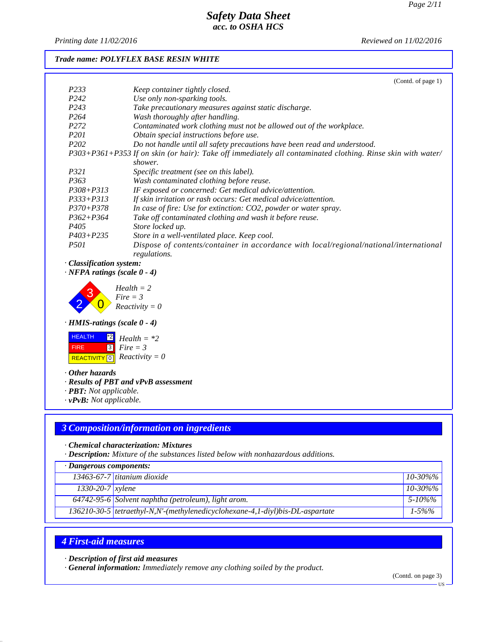*Printing date 11/02/2016 Reviewed on 11/02/2016*

#### *Trade name: POLYFLEX BASE RESIN WHITE*

|                   | (Contd. of page 1)                                                                                          |
|-------------------|-------------------------------------------------------------------------------------------------------------|
| P <sub>2</sub> 33 | Keep container tightly closed.                                                                              |
| P <sub>242</sub>  | Use only non-sparking tools.                                                                                |
| P <sub>243</sub>  | Take precautionary measures against static discharge.                                                       |
| P <sub>264</sub>  | Wash thoroughly after handling.                                                                             |
| P <sub>272</sub>  | Contaminated work clothing must not be allowed out of the workplace.                                        |
| <i>P201</i>       | Obtain special instructions before use.                                                                     |
| P <sub>202</sub>  | Do not handle until all safety precautions have been read and understood.                                   |
|                   | P303+P361+P353 If on skin (or hair): Take off immediately all contaminated clothing. Rinse skin with water/ |
|                   | shower.                                                                                                     |
| P321              | Specific treatment (see on this label).                                                                     |
| P <sub>363</sub>  | Wash contaminated clothing before reuse.                                                                    |
| $P308 + P313$     | IF exposed or concerned: Get medical advice/attention.                                                      |
| $P333+P313$       | If skin irritation or rash occurs: Get medical advice/attention.                                            |
| $P370 + P378$     | In case of fire: Use for extinction: CO2, powder or water spray.                                            |
| $P362 + P364$     | Take off contaminated clothing and wash it before reuse.                                                    |
| P405              | Store locked up.                                                                                            |
| $P403 + P235$     | Store in a well-ventilated place. Keep cool.                                                                |
| <i>P501</i>       | Dispose of contents/container in accordance with local/regional/national/international<br>regulations.      |

#### *· Classification system:*

*· NFPA ratings (scale 0 - 4)*

2 3  $\overline{\mathbf{0}}$ *Health = 2 Fire = 3 Reactivity = 0*

#### *· HMIS-ratings (scale 0 - 4)*



*· Other hazards*

#### *· Results of PBT and vPvB assessment*

- *· PBT: Not applicable.*
- *· vPvB: Not applicable.*

### *3 Composition/information on ingredients*

*· Chemical characterization: Mixtures*

*· Description: Mixture of the substances listed below with nonhazardous additions.*

| $\cdot$ Dangerous components: |                                                                                 |               |
|-------------------------------|---------------------------------------------------------------------------------|---------------|
|                               | $13463-67-7$ titanium dioxide                                                   | $10 - 30\%$ % |
| $1330 - 20 - 7$ <i>xylene</i> |                                                                                 | $10 - 30\%$ % |
|                               | 64742-95-6 Solvent naphtha (petroleum), light arom.                             | 5-10%%        |
|                               | 136210-30-5   tetraethyl-N,N'-(methylenedicyclohexane-4,1-diyl)bis-DL-aspartate | $1 - 5\%$ %   |

### *4 First-aid measures*

*· Description of first aid measures*

*· General information: Immediately remove any clothing soiled by the product.*

(Contd. on page 3)

US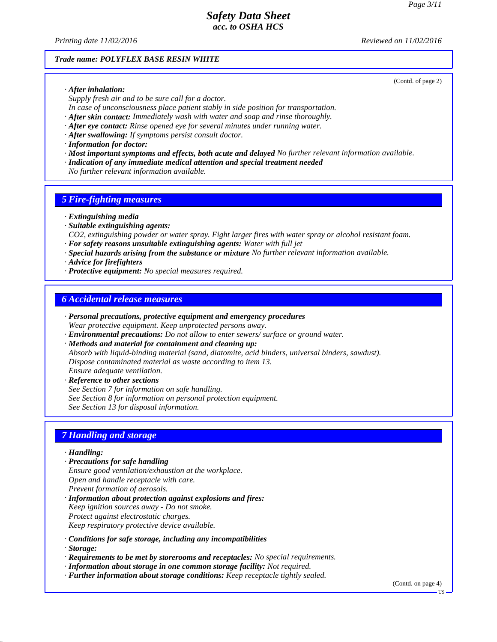*Printing date 11/02/2016 Reviewed on 11/02/2016*

#### *Trade name: POLYFLEX BASE RESIN WHITE*

*· After inhalation:*

*Supply fresh air and to be sure call for a doctor.*

*In case of unconsciousness place patient stably in side position for transportation.*

*· After skin contact: Immediately wash with water and soap and rinse thoroughly. · After eye contact: Rinse opened eye for several minutes under running water.*

*· After swallowing: If symptoms persist consult doctor.*

*· Information for doctor:*

*· Most important symptoms and effects, both acute and delayed No further relevant information available.*

*· Indication of any immediate medical attention and special treatment needed*

*No further relevant information available.*

#### *5 Fire-fighting measures*

*· Extinguishing media*

*· Suitable extinguishing agents:*

*CO2, extinguishing powder or water spray. Fight larger fires with water spray or alcohol resistant foam.*

- *· For safety reasons unsuitable extinguishing agents: Water with full jet*
- *· Special hazards arising from the substance or mixture No further relevant information available.*

*· Advice for firefighters*

*· Protective equipment: No special measures required.*

### *6 Accidental release measures*

- *· Personal precautions, protective equipment and emergency procedures Wear protective equipment. Keep unprotected persons away.*
- *· Environmental precautions: Do not allow to enter sewers/ surface or ground water.*

*· Methods and material for containment and cleaning up:*

*Absorb with liquid-binding material (sand, diatomite, acid binders, universal binders, sawdust). Dispose contaminated material as waste according to item 13. Ensure adequate ventilation.*

*· Reference to other sections See Section 7 for information on safe handling. See Section 8 for information on personal protection equipment. See Section 13 for disposal information.*

### *7 Handling and storage*

*· Handling:*

- *· Precautions for safe handling Ensure good ventilation/exhaustion at the workplace. Open and handle receptacle with care. Prevent formation of aerosols.*
- *· Information about protection against explosions and fires: Keep ignition sources away - Do not smoke. Protect against electrostatic charges. Keep respiratory protective device available.*
- *· Conditions for safe storage, including any incompatibilities · Storage:*
- *· Requirements to be met by storerooms and receptacles: No special requirements.*
- *· Information about storage in one common storage facility: Not required.*
- *· Further information about storage conditions: Keep receptacle tightly sealed.*

(Contd. on page 4)

(Contd. of page 2)

US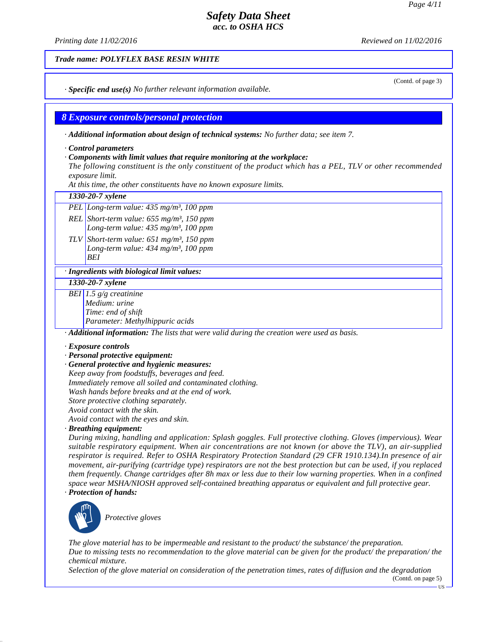*Printing date 11/02/2016 Reviewed on 11/02/2016*

#### *Trade name: POLYFLEX BASE RESIN WHITE*

*· Specific end use(s) No further relevant information available.*

### *8 Exposure controls/personal protection*

*· Additional information about design of technical systems: No further data; see item 7.*

*· Control parameters*

#### *· Components with limit values that require monitoring at the workplace:*

*The following constituent is the only constituent of the product which has a PEL, TLV or other recommended exposure limit.*

*At this time, the other constituents have no known exposure limits.*

#### *1330-20-7 xylene*

*PEL Long-term value: 435 mg/m³, 100 ppm*

*REL Short-term value: 655 mg/m³, 150 ppm Long-term value: 435 mg/m³, 100 ppm*

*TLV Short-term value: 651 mg/m³, 150 ppm Long-term value: 434 mg/m³, 100 ppm BEI*

#### *· Ingredients with biological limit values:*

*1330-20-7 xylene*

*BEI 1.5 g/g creatinine Medium: urine Time: end of shift Parameter: Methylhippuric acids*

*· Additional information: The lists that were valid during the creation were used as basis.*

#### *· Exposure controls*

- *· Personal protective equipment:*
- *· General protective and hygienic measures: Keep away from foodstuffs, beverages and feed.*

*Immediately remove all soiled and contaminated clothing.*

*Wash hands before breaks and at the end of work.*

*Store protective clothing separately.*

*Avoid contact with the skin.*

*Avoid contact with the eyes and skin.*

*· Breathing equipment:*

*During mixing, handling and application: Splash goggles. Full protective clothing. Gloves (impervious). Wear suitable respiratory equipment. When air concentrations are not known (or above the TLV), an air-supplied respirator is required. Refer to OSHA Respiratory Protection Standard (29 CFR 1910.134).In presence of air movement, air-purifying (cartridge type) respirators are not the best protection but can be used, if you replaced them frequently. Change cartridges after 8h max or less due to their low warning properties. When in a confined space wear MSHA/NIOSH approved self-contained breathing apparatus or equivalent and full protective gear.*

*· Protection of hands:*



\_S*Protective gloves*

*The glove material has to be impermeable and resistant to the product/ the substance/ the preparation. Due to missing tests no recommendation to the glove material can be given for the product/ the preparation/ the chemical mixture.*

*Selection of the glove material on consideration of the penetration times, rates of diffusion and the degradation*

(Contd. on page 5)

US

#### (Contd. of page 3)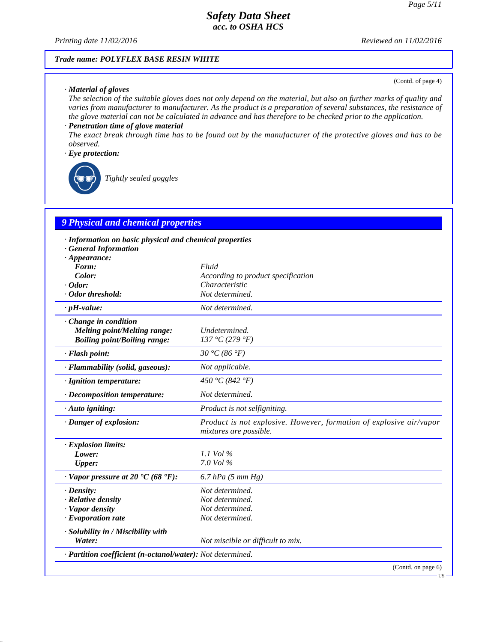*Printing date 11/02/2016 Reviewed on 11/02/2016*

#### *Trade name: POLYFLEX BASE RESIN WHITE*

#### *· Material of gloves*

(Contd. of page 4)

*The selection of the suitable gloves does not only depend on the material, but also on further marks of quality and varies from manufacturer to manufacturer. As the product is a preparation of several substances, the resistance of the glove material can not be calculated in advance and has therefore to be checked prior to the application.*

### *· Penetration time of glove material*

*The exact break through time has to be found out by the manufacturer of the protective gloves and has to be observed.*

#### *· Eye protection:*



\_R*Tightly sealed goggles*

## *9 Physical and chemical properties*

| · Information on basic physical and chemical properties    |                                                                                               |  |
|------------------------------------------------------------|-----------------------------------------------------------------------------------------------|--|
| <b>General Information</b>                                 |                                                                                               |  |
| $\cdot$ Appearance:<br>Form:                               | Fluid                                                                                         |  |
| Color:                                                     | According to product specification                                                            |  |
| $\cdot$ Odor:                                              | Characteristic                                                                                |  |
| · Odor threshold:                                          | Not determined.                                                                               |  |
| $\cdot$ pH-value:                                          | Not determined.                                                                               |  |
| $\cdot$ Change in condition                                |                                                                                               |  |
| Melting point/Melting range:                               | Undetermined.                                                                                 |  |
| <b>Boiling point/Boiling range:</b>                        | 137 °C (279 °F)                                                                               |  |
| · Flash point:                                             | 30 °C (86 °F)                                                                                 |  |
| · Flammability (solid, gaseous):                           | Not applicable.                                                                               |  |
| · Ignition temperature:                                    | 450 °C (842 °F)                                                                               |  |
| $\cdot$ Decomposition temperature:                         | Not determined.                                                                               |  |
| $\cdot$ Auto igniting:                                     | Product is not selfigniting.                                                                  |  |
| · Danger of explosion:                                     | Product is not explosive. However, formation of explosive air/vapor<br>mixtures are possible. |  |
| · Explosion limits:                                        |                                                                                               |  |
| Lower:                                                     | 1.1 Vol $\%$                                                                                  |  |
| <b>Upper:</b>                                              | $7.0$ Vol $\%$                                                                                |  |
| $\cdot$ Vapor pressure at 20 $\cdot$ C (68 $\cdot$ F):     | $6.7$ hPa $(5$ mm Hg)                                                                         |  |
| $\cdot$ Density:                                           | Not determined.                                                                               |  |
| $\cdot$ Relative density                                   | Not determined.                                                                               |  |
| · Vapor density                                            | Not determined.                                                                               |  |
| $\cdot$ Evaporation rate                                   | Not determined.                                                                               |  |
| · Solubility in / Miscibility with                         |                                                                                               |  |
| Water:                                                     | Not miscible or difficult to mix.                                                             |  |
| · Partition coefficient (n-octanol/water): Not determined. |                                                                                               |  |
|                                                            | (Contd. on page 6)                                                                            |  |

US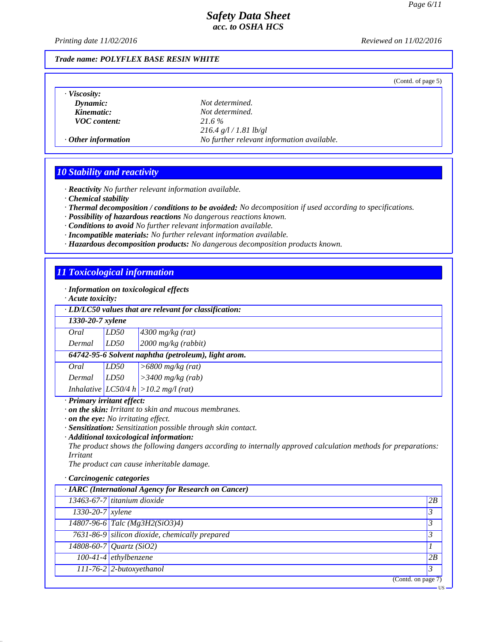*Printing date 11/02/2016 Reviewed on 11/02/2016*

#### *Trade name: POLYFLEX BASE RESIN WHITE*

(Contd. of page 5)

*· Viscosity:*

*Dynamic: Not determined. Kinematic: Not determined. VOC content: 21.6 % 216.4 g/l / 1.81 lb/gl · Other information No further relevant information available.*

#### *10 Stability and reactivity*

*· Reactivity No further relevant information available.*

- *· Chemical stability*
- *· Thermal decomposition / conditions to be avoided: No decomposition if used according to specifications.*
- *· Possibility of hazardous reactions No dangerous reactions known.*
- *· Conditions to avoid No further relevant information available.*
- *· Incompatible materials: No further relevant information available.*
- *· Hazardous decomposition products: No dangerous decomposition products known.*

#### *11 Toxicological information*

*· Information on toxicological effects*

*· Acute toxicity:*

| $\cdot$ LD/LC50 values that are relevant for classification: |  |  |  |  |
|--------------------------------------------------------------|--|--|--|--|
|--------------------------------------------------------------|--|--|--|--|

|        | 1330-20-7 xylene                                    |                                           |  |
|--------|-----------------------------------------------------|-------------------------------------------|--|
| Oral   | LD50                                                | $4300$ mg/kg (rat)                        |  |
| Dermal | LD50                                                | $2000$ mg/kg (rabbit)                     |  |
|        | 64742-95-6 Solvent naphtha (petroleum), light arom. |                                           |  |
| Oral   | LD50                                                | $>6800$ mg/kg (rat)                       |  |
| Dermal | LD50                                                | $>3400$ mg/kg (rab)                       |  |
|        |                                                     | Inhalative $ LCS0/4 h  > 10.2 mg/l (rat)$ |  |

### *· Primary irritant effect:*

*· on the skin: Irritant to skin and mucous membranes.*

- *· on the eye: No irritating effect.*
- *· Sensitization: Sensitization possible through skin contact.*
- *· Additional toxicological information:*

*The product shows the following dangers according to internally approved calculation methods for preparations: Irritant*

*The product can cause inheritable damage.*

#### *· Carcinogenic categories*

| · IARC (International Agency for Research on Cancer) |                                                |    |
|------------------------------------------------------|------------------------------------------------|----|
|                                                      | 13463-67-7 titanium dioxide                    | 2B |
| 1330-20-7 xylene                                     |                                                |    |
|                                                      | 14807-96-6 Talc (Mg3H2(SiO3)4)                 |    |
|                                                      | 7631-86-9 silicon dioxide, chemically prepared |    |
|                                                      | $14808 - 60 - 7$ <i>Quartz</i> (SiO2)          |    |
|                                                      | $100-41-4$ ethylbenzene                        | 2B |
|                                                      | $111-76-2$ 2-butoxyethanol                     |    |
|                                                      | (Contd. on page 7)                             |    |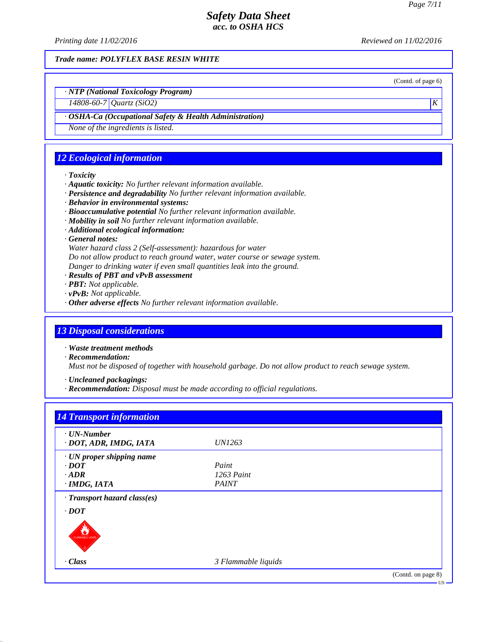*Printing date 11/02/2016 Reviewed on 11/02/2016*

*Trade name: POLYFLEX BASE RESIN WHITE*

(Contd. of page 6)

*· NTP (National Toxicology Program)*

*14808-60-7 Quartz (SiO2) K* 

### *· OSHA-Ca (Occupational Safety & Health Administration)*

*None of the ingredients is listed.*

### *12 Ecological information*

#### *· Toxicity*

- *· Aquatic toxicity: No further relevant information available.*
- *· Persistence and degradability No further relevant information available.*
- *· Behavior in environmental systems:*
- *· Bioaccumulative potential No further relevant information available.*
- *· Mobility in soil No further relevant information available.*
- *· Additional ecological information:*
- *· General notes:*

*Water hazard class 2 (Self-assessment): hazardous for water Do not allow product to reach ground water, water course or sewage system.*

- *Danger to drinking water if even small quantities leak into the ground.*
- *· Results of PBT and vPvB assessment*
- *· PBT: Not applicable.*
- *· vPvB: Not applicable.*
- *· Other adverse effects No further relevant information available.*

#### *13 Disposal considerations*

*· Waste treatment methods*

*· Recommendation:*

*Must not be disposed of together with household garbage. Do not allow product to reach sewage system.*

*· Uncleaned packagings:*

*· Recommendation: Disposal must be made according to official regulations.*

| $\cdot$ UN-Number<br>· DOT, ADR, IMDG, IATA | <i>UN1263</i>       |  |
|---------------------------------------------|---------------------|--|
| · UN proper shipping name                   |                     |  |
| $\cdot$ <i>DOT</i>                          | Paint               |  |
| $-ADR$                                      | $1263$ Paint        |  |
| · IMDG, IATA                                | <b>PAINT</b>        |  |
| · Transport hazard class(es)                |                     |  |
| $\cdot$ <i>DOT</i>                          |                     |  |
| FLAMMABLE LIQUID                            |                     |  |
| $\cdot$ Class                               | 3 Flammable liquids |  |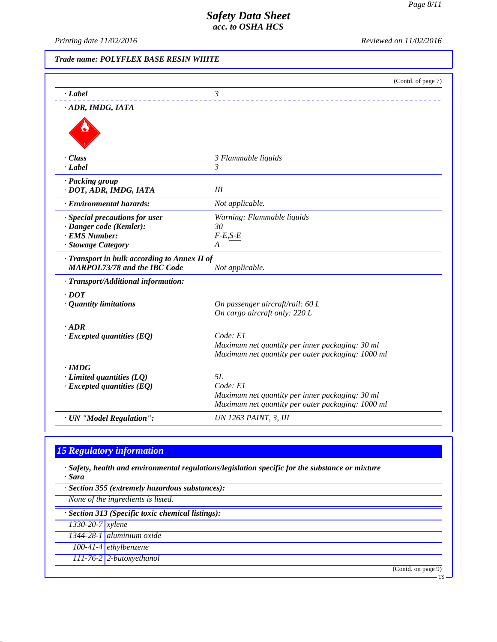*Printing date 11/02/2016 Reviewed on 11/02/2016*

### *Trade name: POLYFLEX BASE RESIN WHITE*

|                                              | (Contd. of page 7)                                |
|----------------------------------------------|---------------------------------------------------|
| $\cdot$ Label                                | $\mathfrak{Z}$                                    |
| · ADR, IMDG, IATA                            |                                                   |
|                                              |                                                   |
|                                              |                                                   |
|                                              |                                                   |
| $\cdot$ Class                                | 3 Flammable liquids                               |
| $\cdot$ <i>Label</i>                         | 3                                                 |
| · Packing group                              |                                                   |
| · DOT, ADR, IMDG, IATA                       | III                                               |
| · Environmental hazards:                     | Not applicable.                                   |
| · Special precautions for user               | Warning: Flammable liquids                        |
| · Danger code (Kemler):                      | 30                                                |
| · EMS Number:                                | $F-E, S-E$                                        |
| · Stowage Category                           | A                                                 |
| · Transport in bulk according to Annex II of |                                                   |
| <b>MARPOL73/78 and the IBC Code</b>          | Not applicable.                                   |
| · Transport/Additional information:          |                                                   |
| $.$ DOT                                      |                                                   |
| · Quantity limitations                       | On passenger aircraft/rail: 60 L                  |
|                                              | On cargo aircraft only: 220 L                     |
| $-ADR$                                       |                                                   |
| $\cdot$ Excepted quantities (EQ)             | Code: El                                          |
|                                              | Maximum net quantity per inner packaging: 30 ml   |
|                                              | Maximum net quantity per outer packaging: 1000 ml |
| $\cdot$ IMDG                                 |                                                   |
| $\cdot$ Limited quantities (LQ)              | 5L                                                |
| $\cdot$ Excepted quantities (EQ)             | Code: El                                          |
|                                              | Maximum net quantity per inner packaging: 30 ml   |
|                                              | Maximum net quantity per outer packaging: 1000 ml |
| · UN "Model Regulation":                     | <b>UN 1263 PAINT, 3, III</b>                      |

# *15 Regulatory information*

*· Safety, health and environmental regulations/legislation specific for the substance or mixture · Sara*

| $\cdot$ Section 355 (extremely hazardous substances): |                                                   |  |  |
|-------------------------------------------------------|---------------------------------------------------|--|--|
|                                                       | None of the ingredients is listed.                |  |  |
|                                                       | · Section 313 (Specific toxic chemical listings): |  |  |
| $1330 - 20 - 7$ <i>xylene</i>                         |                                                   |  |  |
|                                                       | 1344-28-1 aluminium oxide                         |  |  |
|                                                       | $100-41-4$ ethylbenzene                           |  |  |
|                                                       | 111-76-2 2-butoxyethanol                          |  |  |
|                                                       | (Contd. on page 9)                                |  |  |
|                                                       | -US-                                              |  |  |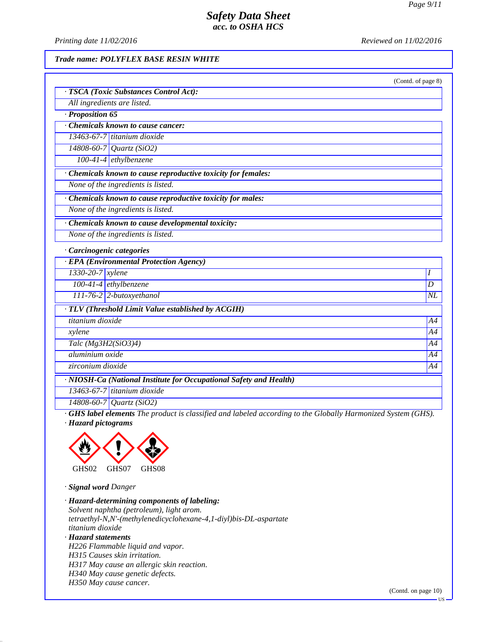*Printing date 11/02/2016 Reviewed on 11/02/2016*

#### *Trade name: POLYFLEX BASE RESIN WHITE*

|                                                                    | (Contd. of page 8) |
|--------------------------------------------------------------------|--------------------|
| · TSCA (Toxic Substances Control Act):                             |                    |
| All ingredients are listed.                                        |                    |
| $\cdot$ Proposition 65                                             |                    |
| Chemicals known to cause cancer:                                   |                    |
| $13463-67-7$ titanium dioxide                                      |                    |
| $14808 - 60 - 7$ Quartz (SiO2)                                     |                    |
| 100-41-4 ethylbenzene                                              |                    |
| · Chemicals known to cause reproductive toxicity for females:      |                    |
| None of the ingredients is listed.                                 |                    |
| · Chemicals known to cause reproductive toxicity for males:        |                    |
| None of the ingredients is listed.                                 |                    |
| Chemicals known to cause developmental toxicity:                   |                    |
| None of the ingredients is listed.                                 |                    |
| · Carcinogenic categories                                          |                    |
| · EPA (Environmental Protection Agency)                            |                    |
| $1330-20-7$ xylene                                                 | Ι                  |
| 100-41-4 ethylbenzene                                              | D                  |
| 111-76-2 2-butoxyethanol                                           | $N\!L$             |
| · TLV (Threshold Limit Value established by ACGIH)                 |                    |
| titanium dioxide                                                   | A4                 |
| xylene                                                             | A4                 |
| Talc (Mg3H2(SiO3)4)                                                | A4                 |
| aluminium oxide                                                    | A4                 |
| zirconium dioxide                                                  | A4                 |
| · NIOSH-Ca (National Institute for Occupational Safety and Health) |                    |
| 13463-67-7 titanium dioxide                                        |                    |
| $14808 - 60 - 7$ <i>Quartz</i> (SiO2)                              |                    |

*· GHS label elements The product is classified and labeled according to the Globally Harmonized System (GHS). · Hazard pictograms*



*· Signal word Danger*

*· Hazard-determining components of labeling: Solvent naphtha (petroleum), light arom. tetraethyl-N,N'-(methylenedicyclohexane-4,1-diyl)bis-DL-aspartate titanium dioxide · Hazard statements H226 Flammable liquid and vapor. H315 Causes skin irritation. H317 May cause an allergic skin reaction. H340 May cause genetic defects. H350 May cause cancer.*

(Contd. on page 10)

 $\cdot$  US  $\cdot$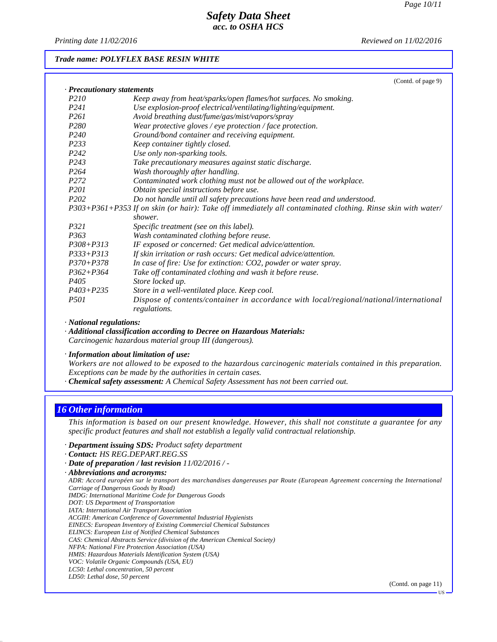*Printing date 11/02/2016 Reviewed on 11/02/2016*

#### *Trade name: POLYFLEX BASE RESIN WHITE*

|                            | (Contd. of page 9)                                                                                          |
|----------------------------|-------------------------------------------------------------------------------------------------------------|
| · Precautionary statements |                                                                                                             |
| P <sub>210</sub>           | Keep away from heat/sparks/open flames/hot surfaces. No smoking.                                            |
| P <sub>241</sub>           | Use explosion-proof electrical/ventilating/lighting/equipment.                                              |
| P <sub>261</sub>           | Avoid breathing dust/fume/gas/mist/vapors/spray                                                             |
| P <sub>280</sub>           | Wear protective gloves / eye protection / face protection.                                                  |
| P <sub>240</sub>           | Ground/bond container and receiving equipment.                                                              |
| P233                       | Keep container tightly closed.                                                                              |
| P <sub>242</sub>           | Use only non-sparking tools.                                                                                |
| P <sub>243</sub>           | Take precautionary measures against static discharge.                                                       |
| P <sub>264</sub>           | Wash thoroughly after handling.                                                                             |
| P <sub>272</sub>           | Contaminated work clothing must not be allowed out of the workplace.                                        |
| <i>P201</i>                | Obtain special instructions before use.                                                                     |
| P <sub>202</sub>           | Do not handle until all safety precautions have been read and understood.                                   |
|                            | P303+P361+P353 If on skin (or hair): Take off immediately all contaminated clothing. Rinse skin with water/ |
|                            | shower.                                                                                                     |
| P321                       | Specific treatment (see on this label).                                                                     |
| P <sub>363</sub>           | Wash contaminated clothing before reuse.                                                                    |
| P308+P313                  | IF exposed or concerned: Get medical advice/attention.                                                      |
| $P333+P313$                | If skin irritation or rash occurs: Get medical advice/attention.                                            |
| $P370 + P378$              | In case of fire: Use for extinction: CO2, powder or water spray.                                            |
| $P362 + P364$              | Take off contaminated clothing and wash it before reuse.                                                    |
| P405                       | Store locked up.                                                                                            |
| $P403 + P235$              | Store in a well-ventilated place. Keep cool.                                                                |
| <i>P501</i>                | Dispose of contents/container in accordance with local/regional/national/international<br>regulations.      |

*· National regulations:*

*· Additional classification according to Decree on Hazardous Materials: Carcinogenic hazardous material group III (dangerous).*

*· Information about limitation of use:*

*Workers are not allowed to be exposed to the hazardous carcinogenic materials contained in this preparation. Exceptions can be made by the authorities in certain cases.*

*· Chemical safety assessment: A Chemical Safety Assessment has not been carried out.*

### *16 Other information*

*This information is based on our present knowledge. However, this shall not constitute a guarantee for any specific product features and shall not establish a legally valid contractual relationship.*

*· Department issuing SDS: Product safety department*

- *· Contact: HS REG.DEPART.REG.SS*
- *· Date of preparation / last revision 11/02/2016 / -*
- *· Abbreviations and acronyms:*

*ADR: Accord européen sur le transport des marchandises dangereuses par Route (European Agreement concerning the International Carriage of Dangerous Goods by Road) IMDG: International Maritime Code for Dangerous Goods*

- *DOT: US Department of Transportation*
- *IATA: International Air Transport Association*
- *ACGIH: American Conference of Governmental Industrial Hygienists*
- *EINECS: European Inventory of Existing Commercial Chemical Substances*
- *ELINCS: European List of Notified Chemical Substances*
- *CAS: Chemical Abstracts Service (division of the American Chemical Society)*
- *NFPA: National Fire Protection Association (USA)*
- *HMIS: Hazardous Materials Identification System (USA)*
- *VOC: Volatile Organic Compounds (USA, EU)*
- *LC50: Lethal concentration, 50 percent LD50: Lethal dose, 50 percent*

(Contd. on page 11)

US